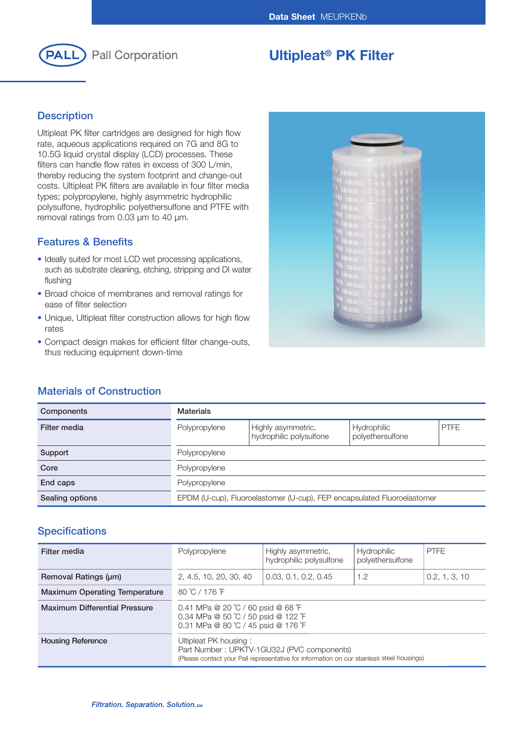

# **Ultipleat® PK Filter**

## **Description**

Ultipleat PK filter cartridges are designed for high flow rate, aqueous applications required on 7G and 8G to 10.5G liquid crystal display (LCD) processes. These filters can handle flow rates in excess of 300 L/min, thereby reducing the system footprint and change-out costs. Ultipleat PK filters are available in four filter media types; polypropylene, highly asymmetric hydrophilic polysulfone, hydrophilic polyethersulfone and PTFE with removal ratings from 0.03 μm to 40 μm.

## **Features & Benefits**

- Ideally suited for most LCD wet processing applications, such as substrate cleaning, etching, stripping and DI water flushing
- Broad choice of membranes and removal ratings for ease of filter selection
- Unique, Ultipleat filter construction allows for high flow rates
- Compact design makes for efficient filter change-outs, thus reducing equipment down-time



## **Materials of Construction**

| <b>Components</b> | <b>Materials</b>                                                        |                                               |                                        |             |
|-------------------|-------------------------------------------------------------------------|-----------------------------------------------|----------------------------------------|-------------|
| Filter media      | Polypropylene                                                           | Highly asymmetric,<br>hydrophilic polysulfone | <b>Hydrophilic</b><br>polyethersulfone | <b>PTFE</b> |
| Support           | Polypropylene                                                           |                                               |                                        |             |
| Core              | Polypropylene                                                           |                                               |                                        |             |
| End caps          | Polypropylene                                                           |                                               |                                        |             |
| Sealing options   | EPDM (U-cup), Fluoroelastomer (U-cup), FEP encapsulated Fluoroelastomer |                                               |                                        |             |

## **Specifications**

| Filter media                         | Polypropylene                                                                                                                                                    | Highly asymmetric,<br>hydrophilic polysulfone | <b>Hydrophilic</b><br>polyethersulfone | <b>PTFE</b>   |
|--------------------------------------|------------------------------------------------------------------------------------------------------------------------------------------------------------------|-----------------------------------------------|----------------------------------------|---------------|
| Removal Ratings (µm)                 | 2, 4.5, 10, 20, 30, 40                                                                                                                                           | 0.03, 0.1, 0.2, 0.45                          | 1.2                                    | 0.2, 1, 3, 10 |
| <b>Maximum Operating Temperature</b> | 80 °C / 176 °F                                                                                                                                                   |                                               |                                        |               |
| <b>Maximum Differential Pressure</b> | 0.41 MPa @ 20 °C / 60 psid @ 68 °F<br>0.34 MPa @ 50 °C / 50 psid @ 122 °F<br>0.31 MPa @ 80 °C / 45 psid @ 176 °F                                                 |                                               |                                        |               |
| <b>Housing Reference</b>             | Ultipleat PK housing:<br>Part Number: UPKTV-1GU32J (PVC components)<br>(Please contact your Pall representative for information on our stainless steel housings) |                                               |                                        |               |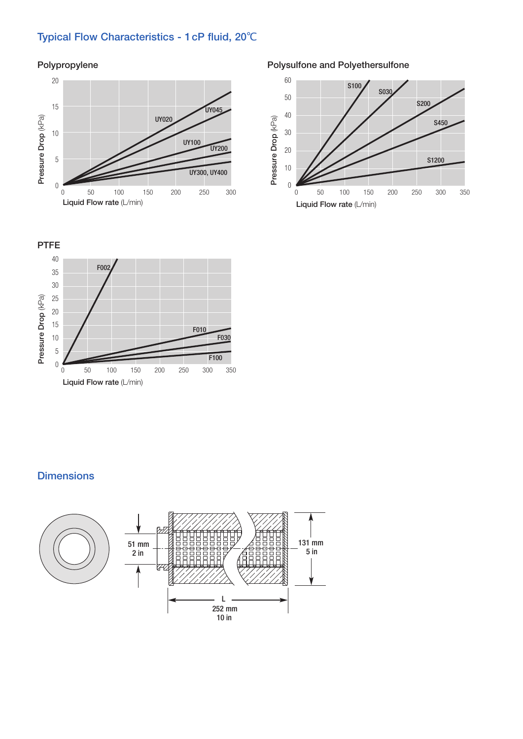# **Typical Flow Characteristics - 1cP fluid, 20**℃

### **Polypropylene**



### **Polysulfone and Polyethersulfone**





## **Dimensions**